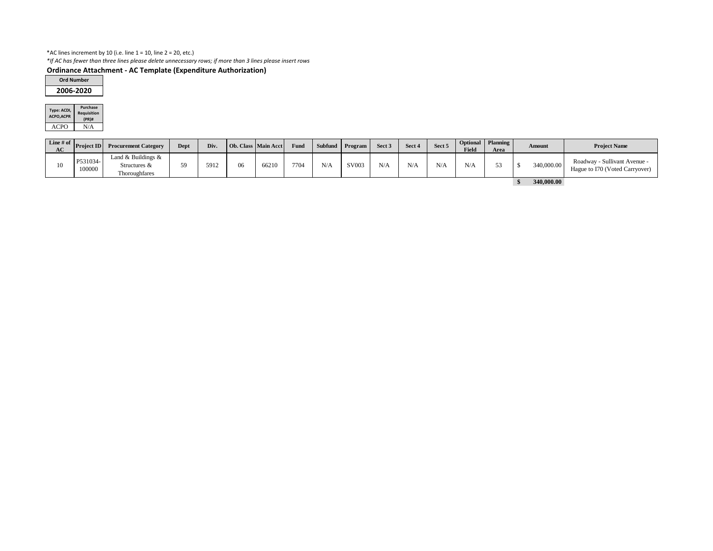## \*AC lines increment by 10 (i.e. line  $1 = 10$ , line  $2 = 20$ , etc.)

*\*If AC has fewer than three lines please delete unnecessary rows; if more than 3 lines please insert rows*

# **Ordinance Attachment - AC Template (Expenditure Authorization)**

| Type: ACDI,<br><b>ACPO, ACPR</b> | <b>Purchase</b><br><b>Requisition</b><br>(PR)# |
|----------------------------------|------------------------------------------------|
| ACPI()                           | N/A                                            |

| $\vert$ Line # of $\vert$<br>AC | <b>Project ID</b>  | <b>Procurement Category</b>                               | Dept | Div. |    | <b>Ob.</b> Class Main Acct | Fund | $\sim$ Subfund $\mid$ | Program | Sect 3 | Sect 4 | Sect 5 | <b>Field</b> | Optional   Planning  <br><b>Area</b> | <b>Amount</b> |            |                                                                |  |  |  |  |  | <b>Project Name</b> |
|---------------------------------|--------------------|-----------------------------------------------------------|------|------|----|----------------------------|------|-----------------------|---------|--------|--------|--------|--------------|--------------------------------------|---------------|------------|----------------------------------------------------------------|--|--|--|--|--|---------------------|
| $10-1$                          | P531034-<br>100000 | Land & Buildings $\&$<br>Structures $\&$<br>Thoroughfares | 59   | 5912 | 06 | 66210                      | 7704 | N/A                   | SV003   | N/A    | N/A    | N/A    | N/A          | 53<br>ັບ                             |               | 340,000.00 | Roadway - Sullivant Avenue -<br>Hague to I70 (Voted Carryover) |  |  |  |  |  |                     |
|                                 |                    |                                                           |      |      |    |                            |      |                       |         |        |        |        |              |                                      |               | 340,000.00 |                                                                |  |  |  |  |  |                     |

| <b>Ord Number</b> |
|-------------------|
| 2006-2020         |